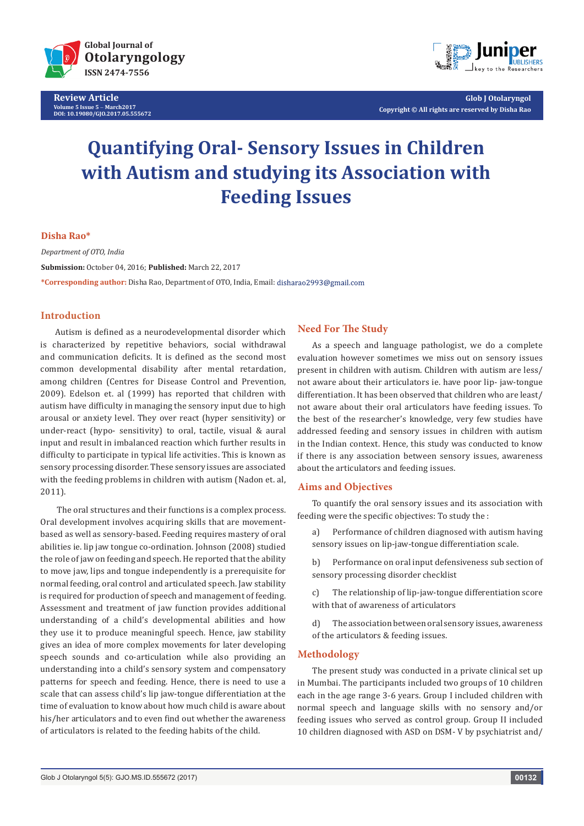

**Review Article Volume 5 Issue 5** - **March2017 DOI: [10.19080/GJO.2017.05.555672](http://dx.doi.org/10.19080/GJO.2017.05.555672)**



**Glob J Otolaryngol Copyright © All rights are reserved by Disha Rao**

# **Quantifying Oral- Sensory Issues in Children with Autism and studying its Association with Feeding Issues**

## **Disha Rao\***

*Department of OTO, India* **Submission:** October 04, 2016; **Published:** March 22, 2017 **\*Corresponding author:** Disha Rao, Department of OTO, India, Email:

# **Introduction**

Autism is defined as a neurodevelopmental disorder which is characterized by repetitive behaviors, social withdrawal and communication deficits. It is defined as the second most common developmental disability after mental retardation, among children (Centres for Disease Control and Prevention, 2009). Edelson et. al (1999) has reported that children with autism have difficulty in managing the sensory input due to high arousal or anxiety level. They over react (hyper sensitivity) or under-react (hypo- sensitivity) to oral, tactile, visual & aural input and result in imbalanced reaction which further results in difficulty to participate in typical life activities. This is known as sensory processing disorder. These sensory issues are associated with the feeding problems in children with autism (Nadon et. al, 2011).

 The oral structures and their functions is a complex process. Oral development involves acquiring skills that are movementbased as well as sensory-based. Feeding requires mastery of oral abilities ie. lip jaw tongue co-ordination. Johnson (2008) studied the role of jaw on feeding and speech. He reported that the ability to move jaw, lips and tongue independently is a prerequisite for normal feeding, oral control and articulated speech. Jaw stability is required for production of speech and management of feeding. Assessment and treatment of jaw function provides additional understanding of a child's developmental abilities and how they use it to produce meaningful speech. Hence, jaw stability gives an idea of more complex movements for later developing speech sounds and co-articulation while also providing an understanding into a child's sensory system and compensatory patterns for speech and feeding. Hence, there is need to use a scale that can assess child's lip jaw-tongue differentiation at the time of evaluation to know about how much child is aware about his/her articulators and to even find out whether the awareness of articulators is related to the feeding habits of the child.

# **Need For The Study**

As a speech and language pathologist, we do a complete evaluation however sometimes we miss out on sensory issues present in children with autism. Children with autism are less/ not aware about their articulators ie. have poor lip- jaw-tongue differentiation. It has been observed that children who are least/ not aware about their oral articulators have feeding issues. To the best of the researcher's knowledge, very few studies have addressed feeding and sensory issues in children with autism in the Indian context. Hence, this study was conducted to know if there is any association between sensory issues, awareness about the articulators and feeding issues.

## **Aims and Objectives**

To quantify the oral sensory issues and its association with feeding were the specific objectives: To study the :

- a) Performance of children diagnosed with autism having sensory issues on lip-jaw-tongue differentiation scale.
- b) Performance on oral input defensiveness sub section of sensory processing disorder checklist
- c) The relationship of lip-jaw-tongue differentiation score with that of awareness of articulators
- d) The association between oral sensory issues, awareness of the articulators & feeding issues.

#### **Methodology**

The present study was conducted in a private clinical set up in Mumbai. The participants included two groups of 10 children each in the age range 3-6 years. Group I included children with normal speech and language skills with no sensory and/or feeding issues who served as control group. Group II included 10 children diagnosed with ASD on DSM- V by psychiatrist and/